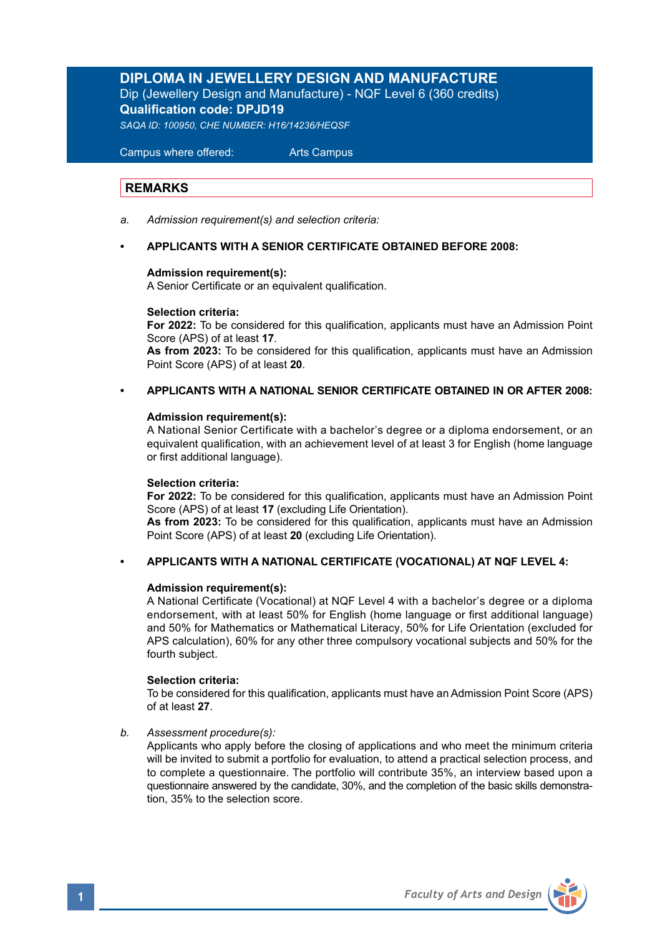# **DIPLOMA IN JEWELLERY DESIGN AND MANUFACTURE** Dip (Jewellery Design and Manufacture) - NQF Level 6 (360 credits) **Qualification code: DPJD19**

*SAQA ID: 100950, CHE NUMBER: H16/14236/HEQSF* 

 Campus where offered: Arts Campus

# **REMARKS**

*a. Admission requirement(s) and selection criteria:*

## **• APPLICANTS WITH A SENIOR CERTIFICATE OBTAINED BEFORE 2008:**

## **Admission requirement(s):**

A Senior Certificate or an equivalent qualification.

## **Selection criteria:**

**For 2022:** To be considered for this qualification, applicants must have an Admission Point Score (APS) of at least **17**.

**As from 2023:** To be considered for this qualification, applicants must have an Admission Point Score (APS) of at least **20**.

# **• APPLICANTS WITH A NATIONAL SENIOR CERTIFICATE OBTAINED IN OR AFTER 2008:**

## **Admission requirement(s):**

 A National Senior Certificate with a bachelor's degree or a diploma endorsement, or an equivalent qualification, with an achievement level of at least 3 for English (home language or first additional language).

## **Selection criteria:**

**For 2022:** To be considered for this qualification, applicants must have an Admission Point Score (APS) of at least **17** (excluding Life Orientation).

**As from 2023:** To be considered for this qualification, applicants must have an Admission Point Score (APS) of at least **20** (excluding Life Orientation).

## **• APPLICANTS WITH A NATIONAL CERTIFICATE (VOCATIONAL) AT NQF LEVEL 4:**

## **Admission requirement(s):**

A National Certificate (Vocational) at NQF Level 4 with a bachelor's degree or a diploma endorsement, with at least 50% for English (home language or first additional language) and 50% for Mathematics or Mathematical Literacy, 50% for Life Orientation (excluded for APS calculation), 60% for any other three compulsory vocational subjects and 50% for the fourth subject.

## **Selection criteria:**

To be considered for this qualification, applicants must have an Admission Point Score (APS) of at least **27**.

## *b. Assessment procedure(s):*

Applicants who apply before the closing of applications and who meet the minimum criteria will be invited to submit a portfolio for evaluation, to attend a practical selection process, and to complete a questionnaire. The portfolio will contribute 35%, an interview based upon a questionnaire answered by the candidate, 30%, and the completion of the basic skills demonstra tion, 35% to the selection score.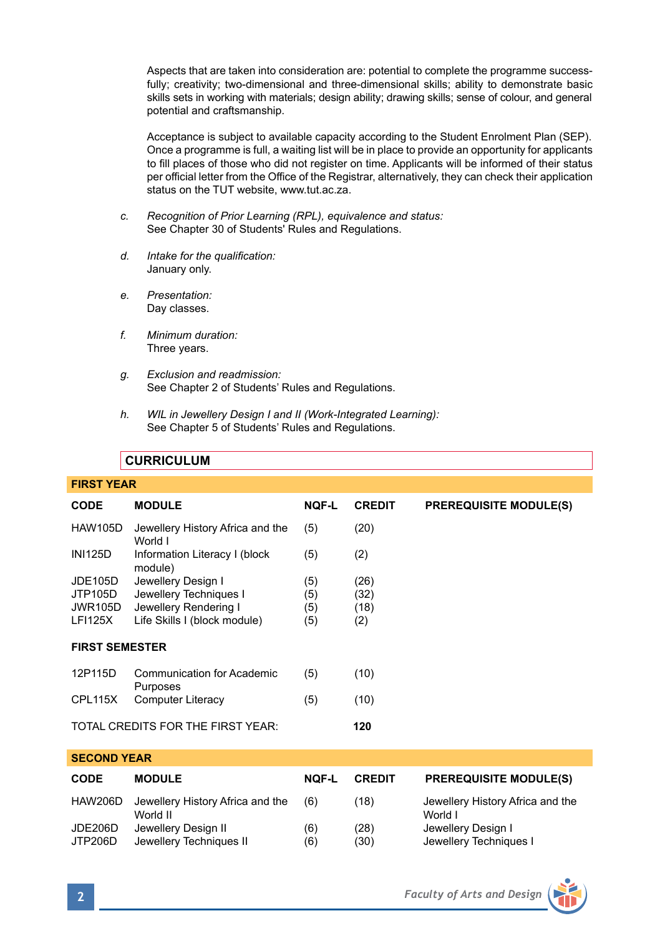Aspects that are taken into consideration are: potential to complete the programme success fully; creativity; two-dimensional and three-dimensional skills; ability to demonstrate basic skills sets in working with materials; design ability; drawing skills; sense of colour, and general potential and craftsmanship.

 Acceptance is subject to available capacity according to the Student Enrolment Plan (SEP). Once a programme is full, a waiting list will be in place to provide an opportunity for applicants to fill places of those who did not register on time. Applicants will be informed of their status per official letter from the Office of the Registrar, alternatively, they can check their application status on the TUT website, www.tut.ac.za.

- *c. Recognition of Prior Learning (RPL), equivalence and status:* See Chapter 30 of Students' Rules and Regulations.
- *d. Intake for the qualification:* January only.
- *e. Presentation:* Day classes.
- *f. Minimum duration:* Three years.
- *g. Exclusion and readmission:* See Chapter 2 of Students' Rules and Regulations.
- *h. WIL in Jewellery Design I and II (Work-Integrated Learning):*  See Chapter 5 of Students' Rules and Regulations.

# **CURRICULUM**

# **FIRST YEAR**

| CODE                              | <b>MODULE</b>                               | <b>NOF-L</b> | <b>CREDIT</b> | <b>PREREQUISITE MODULE(S)</b> |  |
|-----------------------------------|---------------------------------------------|--------------|---------------|-------------------------------|--|
| <b>HAW105D</b>                    | Jewellery History Africa and the<br>World I | (5)          | (20)          |                               |  |
| <b>INI125D</b>                    | Information Literacy I (block<br>module)    | (5)          | (2)           |                               |  |
| <b>JDE105D</b>                    | Jewellery Design I                          | (5)          | (26)          |                               |  |
| JTP105D                           | Jewellery Techniques I                      | (5)          | (32)          |                               |  |
| <b>JWR105D</b>                    | Jewellery Rendering I                       | (5)          | (18)          |                               |  |
| <b>LFI125X</b>                    | Life Skills I (block module)                | (5)          | (2)           |                               |  |
| <b>FIRST SEMESTER</b>             |                                             |              |               |                               |  |
| 12P115D                           | Communication for Academic<br>Purposes      | (5)          | (10)          |                               |  |
| CPL115X                           | Computer Literacy                           | (5)          | (10)          |                               |  |
| TOTAL CREDITS FOR THE FIRST YEAR: |                                             |              | 120           |                               |  |
| <b>SECOND YEAR</b>                |                                             |              |               |                               |  |

| <b>CODE</b>        | <b>MODULE</b>                                  | NOF-L      | <b>CREDIT</b> | <b>PREREQUISITE MODULE(S)</b>                |
|--------------------|------------------------------------------------|------------|---------------|----------------------------------------------|
| HAW206D            | Jewellery History Africa and the<br>World II   | (6)        | (18)          | Jewellery History Africa and the<br>World I  |
| JDE206D<br>JTP206D | Jewellery Design II<br>Jewellery Techniques II | (6)<br>(6) | (28)<br>(30)  | Jewellery Design I<br>Jewellery Techniques I |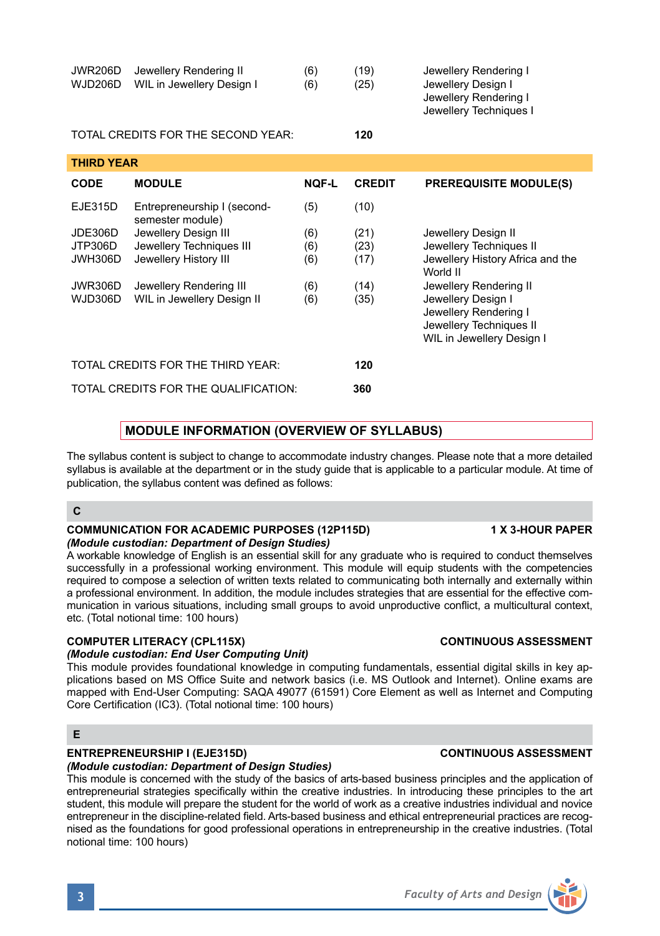|                   |                                                 |              |               | Jewellery Rendering I<br>Jewellery Techniques I |  |
|-------------------|-------------------------------------------------|--------------|---------------|-------------------------------------------------|--|
|                   | TOTAL CREDITS FOR THE SECOND YEAR:              | 120          |               |                                                 |  |
| <b>THIRD YEAR</b> |                                                 |              |               |                                                 |  |
| CODE              | <b>MODULE</b>                                   | <b>NOF-L</b> | <b>CREDIT</b> | <b>PREREQUISITE MODULE(S)</b>                   |  |
| EJE315D           | Entrepreneurship I (second-<br>semester module) | (5)          | (10)          |                                                 |  |
| JDE306D           | Jewellery Design III                            | (6)          | (21)          | Jewellery Design II                             |  |
| JTP306D           | Jewellery Techniques III                        | (6)          | (23)          | Jewellery Techniques II                         |  |
| JWH306D           | Jewellery History III                           | (6)          | (17)          | Jewellery History Africa and the                |  |
|                   |                                                 |              |               | World II                                        |  |
| JWR306D           | Jewellery Rendering III                         | (6)          | (14)          | Jewellery Rendering II                          |  |
| WJD306D           | WIL in Jewellery Design II                      | (6)          | (35)          | Jewellery Design I                              |  |
|                   |                                                 |              |               |                                                 |  |

JWR206D Jewellery Rendering II (6) (19) Jewellery Rendering I<br>WJD206D WIL in Jewellery Design I (6) (25) Jewellery Design I

| TOTAL CREDITS FOR THE THIRD YEAR:    | 120 |
|--------------------------------------|-----|
| TOTAL CREDITS FOR THE QUALIFICATION: | 360 |

WJD206D WIL in Jewellery Design I (6) (25)

# **MODULE INFORMATION (OVERVIEW OF SYLLABUS)**

The syllabus content is subject to change to accommodate industry changes. Please note that a more detailed syllabus is available at the department or in the study quide that is applicable to a particular module. At time of publication, the syllabus content was defined as follows:

# **C**

## **COMMUNICATION FOR ACADEMIC PURPOSES (12P115D) 1 X 3-HOUR PAPER** *(Module custodian: Department of Design Studies)*

A workable knowledge of English is an essential skill for any graduate who is required to conduct themselves successfully in a professional working environment. This module will equip students with the competencies required to compose a selection of written texts related to communicating both internally and externally within a professional environment. In addition, the module includes strategies that are essential for the effective communication in various situations, including small groups to avoid unproductive conflict, a multicultural context, etc. (Total notional time: 100 hours)

# **COMPUTER LITERACY (CPL115X) CONTINUOUS ASSESSMENT**

# *(Module custodian: End User Computing Unit)*

This module provides foundational knowledge in computing fundamentals, essential digital skills in key applications based on MS Office Suite and network basics (i.e. MS Outlook and Internet). Online exams are mapped with End-User Computing: SAQA 49077 (61591) Core Element as well as Internet and Computing Core Certification (IC3). (Total notional time: 100 hours)

# **E**

# **ENTREPRENEURSHIP I (EJE315D) CONTINUOUS ASSESSMENT**

*(Module custodian: Department of Design Studies)* This module is concerned with the study of the basics of arts-based business principles and the application of entrepreneurial strategies specifically within the creative industries. In introducing these principles to the art student, this module will prepare the student for the world of work as a creative industries individual and novice entrepreneur in the discipline-related field. Arts-based business and ethical entrepreneurial practices are recognised as the foundations for good professional operations in entrepreneurship in the creative industries. (Total notional time: 100 hours)

Jewellery Rendering I Jewellery Techniques II WIL in Jewellery Design I

**3** *Faculty of Arts and Design*

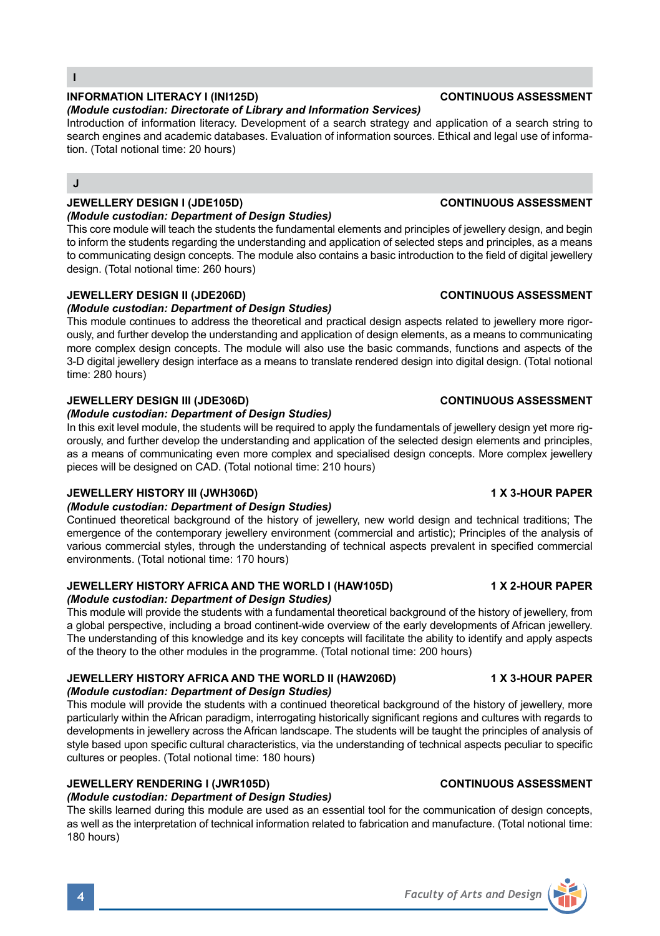# **INFORMATION LITERACY I (INI125D) CONTINUOUS ASSESSMENT**

## *(Module custodian: Directorate of Library and Information Services)*

Introduction of information literacy. Development of a search strategy and application of a search string to search engines and academic databases. Evaluation of information sources. Ethical and legal use of information. (Total notional time: 20 hours)

# **J**

# **JEWELLERY DESIGN I (JDE105D) CONTINUOUS ASSESSMENT**

## *(Module custodian: Department of Design Studies)*

This core module will teach the students the fundamental elements and principles of jewellery design, and begin to inform the students regarding the understanding and application of selected steps and principles, as a means to communicating design concepts. The module also contains a basic introduction to the field of digital jewellery design. (Total notional time: 260 hours)

## **JEWELLERY DESIGN II (JDE206D) CONTINUOUS ASSESSMENT**

## *(Module custodian: Department of Design Studies)*

This module continues to address the theoretical and practical design aspects related to jewellery more rigorously, and further develop the understanding and application of design elements, as a means to communicating more complex design concepts. The module will also use the basic commands, functions and aspects of the 3-D digital jewellery design interface as a means to translate rendered design into digital design. (Total notional time: 280 hours)

# **JEWELLERY DESIGN III (JDE306D) CONTINUOUS ASSESSMENT**

## *(Module custodian: Department of Design Studies)*

In this exit level module, the students will be required to apply the fundamentals of jewellery design yet more rigorously, and further develop the understanding and application of the selected design elements and principles, as a means of communicating even more complex and specialised design concepts. More complex jewellery pieces will be designed on CAD. (Total notional time: 210 hours)

## **JEWELLERY HISTORY III (JWH306D) 1 X 3-HOUR PAPER**

## *(Module custodian: Department of Design Studies)*

Continued theoretical background of the history of jewellery, new world design and technical traditions; The emergence of the contemporary jewellery environment (commercial and artistic); Principles of the analysis of various commercial styles, through the understanding of technical aspects prevalent in specified commercial environments. (Total notional time: 170 hours)

# **JEWELLERY HISTORY AFRICA AND THE WORLD I (HAW105D) 1 X 2-HOUR PAPER**

# *(Module custodian: Department of Design Studies)*

This module will provide the students with a fundamental theoretical background of the history of jewellery, from a global perspective, including a broad continent-wide overview of the early developments of African jewellery. The understanding of this knowledge and its key concepts will facilitate the ability to identify and apply aspects of the theory to the other modules in the programme. (Total notional time: 200 hours)

## **JEWELLERY HISTORY AFRICA AND THE WORLD II (HAW206D) 4 X 3-HOUR PAPER** *(Module custodian: Department of Design Studies)*

This module will provide the students with a continued theoretical background of the history of jewellery, more particularly within the African paradigm, interrogating historically significant regions and cultures with regards to developments in jewellery across the African landscape. The students will be taught the principles of analysis of style based upon specific cultural characteristics, via the understanding of technical aspects peculiar to specific cultures or peoples. (Total notional time: 180 hours)

# **JEWELLERY RENDERING I (JWR105D) CONTINUOUS ASSESSMENT**

# *(Module custodian: Department of Design Studies)*

The skills learned during this module are used as an essential tool for the communication of design concepts, as well as the interpretation of technical information related to fabrication and manufacture. (Total notional time: 180 hours)